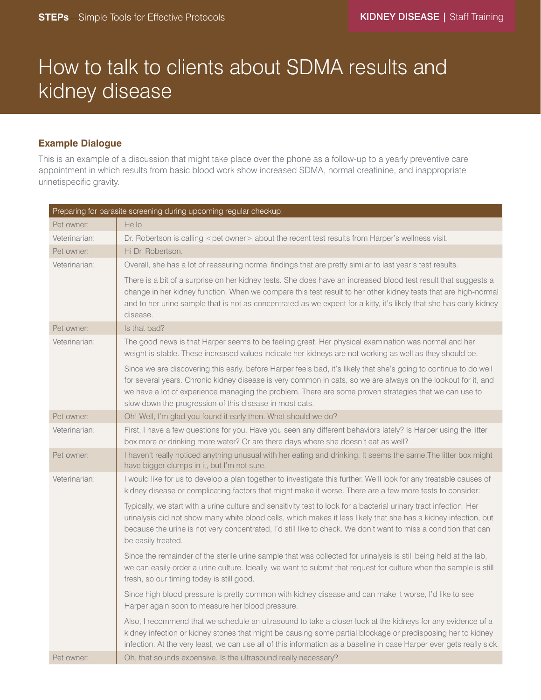## How to talk to clients about SDMA results and kidney disease

## **Example Dialogue**

This is an example of a discussion that might take place over the phone as a follow-up to a yearly preventive care appointment in which results from basic blood work show increased SDMA, normal creatinine, and inappropriate urinetispecific gravity.

| Preparing for parasite screening during upcoming regular checkup: |                                                                                                                                                                                                                                                                                                                                                                                                        |
|-------------------------------------------------------------------|--------------------------------------------------------------------------------------------------------------------------------------------------------------------------------------------------------------------------------------------------------------------------------------------------------------------------------------------------------------------------------------------------------|
| Pet owner:                                                        | Hello.                                                                                                                                                                                                                                                                                                                                                                                                 |
| Veterinarian:                                                     | Dr. Robertson is calling <pet owner=""> about the recent test results from Harper's wellness visit.</pet>                                                                                                                                                                                                                                                                                              |
| Pet owner:                                                        | Hi Dr. Robertson.                                                                                                                                                                                                                                                                                                                                                                                      |
| Veterinarian:                                                     | Overall, she has a lot of reassuring normal findings that are pretty similar to last year's test results.                                                                                                                                                                                                                                                                                              |
|                                                                   | There is a bit of a surprise on her kidney tests. She does have an increased blood test result that suggests a<br>change in her kidney function. When we compare this test result to her other kidney tests that are high-normal<br>and to her urine sample that is not as concentrated as we expect for a kitty, it's likely that she has early kidney<br>disease.                                    |
| Pet owner:                                                        | Is that bad?                                                                                                                                                                                                                                                                                                                                                                                           |
| Veterinarian:                                                     | The good news is that Harper seems to be feeling great. Her physical examination was normal and her<br>weight is stable. These increased values indicate her kidneys are not working as well as they should be.                                                                                                                                                                                        |
|                                                                   | Since we are discovering this early, before Harper feels bad, it's likely that she's going to continue to do well<br>for several years. Chronic kidney disease is very common in cats, so we are always on the lookout for it, and<br>we have a lot of experience managing the problem. There are some proven strategies that we can use to<br>slow down the progression of this disease in most cats. |
| Pet owner:                                                        | Oh! Well, I'm glad you found it early then. What should we do?                                                                                                                                                                                                                                                                                                                                         |
| Veterinarian:                                                     | First, I have a few questions for you. Have you seen any different behaviors lately? Is Harper using the litter<br>box more or drinking more water? Or are there days where she doesn't eat as well?                                                                                                                                                                                                   |
| Pet owner:                                                        | I haven't really noticed anything unusual with her eating and drinking. It seems the same. The litter box might<br>have bigger clumps in it, but I'm not sure.                                                                                                                                                                                                                                         |
| Veterinarian:                                                     | I would like for us to develop a plan together to investigate this further. We'll look for any treatable causes of<br>kidney disease or complicating factors that might make it worse. There are a few more tests to consider:                                                                                                                                                                         |
|                                                                   | Typically, we start with a urine culture and sensitivity test to look for a bacterial urinary tract infection. Her<br>urinalysis did not show many white blood cells, which makes it less likely that she has a kidney infection, but<br>because the urine is not very concentrated, I'd still like to check. We don't want to miss a condition that can<br>be easily treated.                         |
|                                                                   | Since the remainder of the sterile urine sample that was collected for urinalysis is still being held at the lab,<br>we can easily order a urine culture. Ideally, we want to submit that request for culture when the sample is still<br>fresh, so our timing today is still good.                                                                                                                    |
|                                                                   | Since high blood pressure is pretty common with kidney disease and can make it worse, I'd like to see<br>Harper again soon to measure her blood pressure.                                                                                                                                                                                                                                              |
|                                                                   | Also, I recommend that we schedule an ultrasound to take a closer look at the kidneys for any evidence of a<br>kidney infection or kidney stones that might be causing some partial blockage or predisposing her to kidney<br>infection. At the very least, we can use all of this information as a baseline in case Harper ever gets really sick.                                                     |
| Pet owner:                                                        | Oh, that sounds expensive. Is the ultrasound really necessary?                                                                                                                                                                                                                                                                                                                                         |